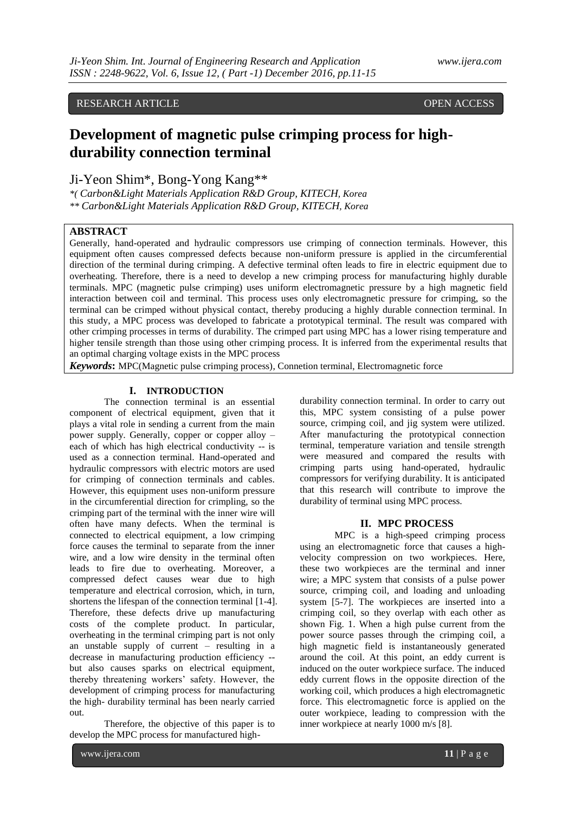# RESEARCH ARTICLE **CONSERVERS** OPEN ACCESS

# **Development of magnetic pulse crimping process for highdurability connection terminal**

Ji-Yeon Shim\*, Bong-Yong Kang\*\*

*\*( Carbon&Light Materials Application R&D Group, KITECH, Korea \*\* Carbon&Light Materials Application R&D Group, KITECH, Korea*

### **ABSTRACT**

Generally, hand-operated and hydraulic compressors use crimping of connection terminals. However, this equipment often causes compressed defects because non-uniform pressure is applied in the circumferential direction of the terminal during crimping. A defective terminal often leads to fire in electric equipment due to overheating. Therefore, there is a need to develop a new crimping process for manufacturing highly durable terminals. MPC (magnetic pulse crimping) uses uniform electromagnetic pressure by a high magnetic field interaction between coil and terminal. This process uses only electromagnetic pressure for crimping, so the terminal can be crimped without physical contact, thereby producing a highly durable connection terminal. In this study, a MPC process was developed to fabricate a prototypical terminal. The result was compared with other crimping processes in terms of durability. The crimped part using MPC has a lower rising temperature and higher tensile strength than those using other crimping process. It is inferred from the experimental results that an optimal charging voltage exists in the MPC process

*Keywords***:** MPC(Magnetic pulse crimping process), Connetion terminal, Electromagnetic force

### **I. INTRODUCTION**

The connection terminal is an essential component of electrical equipment, given that it plays a vital role in sending a current from the main power supply. Generally, copper or copper alloy – each of which has high electrical conductivity -- is used as a connection terminal. Hand-operated and hydraulic compressors with electric motors are used for crimping of connection terminals and cables. However, this equipment uses non-uniform pressure in the circumferential direction for crimpling, so the crimping part of the terminal with the inner wire will often have many defects. When the terminal is connected to electrical equipment, a low crimping force causes the terminal to separate from the inner wire, and a low wire density in the terminal often leads to fire due to overheating. Moreover, a compressed defect causes wear due to high temperature and electrical corrosion, which, in turn, shortens the lifespan of the connection terminal [1-4]. Therefore, these defects drive up manufacturing costs of the complete product. In particular, overheating in the terminal crimping part is not only an unstable supply of current – resulting in a decrease in manufacturing production efficiency - but also causes sparks on electrical equipment, thereby threatening workers' safety. However, the development of crimping process for manufacturing the high- durability terminal has been nearly carried out.

Therefore, the objective of this paper is to develop the MPC process for manufactured high-

www.ijera.com **11** | P a g e

durability connection terminal. In order to carry out this, MPC system consisting of a pulse power source, crimping coil, and jig system were utilized. After manufacturing the prototypical connection terminal, temperature variation and tensile strength were measured and compared the results with crimping parts using hand-operated, hydraulic compressors for verifying durability. It is anticipated that this research will contribute to improve the durability of terminal using MPC process.

## **II. MPC PROCESS**

MPC is a high-speed crimping process using an electromagnetic force that causes a highvelocity compression on two workpieces. Here, these two workpieces are the terminal and inner wire; a MPC system that consists of a pulse power source, crimping coil, and loading and unloading system [5-7]. The workpieces are inserted into a crimping coil, so they overlap with each other as shown Fig. 1. When a high pulse current from the power source passes through the crimping coil, a high magnetic field is instantaneously generated around the coil. At this point, an eddy current is induced on the outer workpiece surface. The induced eddy current flows in the opposite direction of the working coil, which produces a high electromagnetic force. This electromagnetic force is applied on the outer workpiece, leading to compression with the inner workpiece at nearly 1000 m/s [8].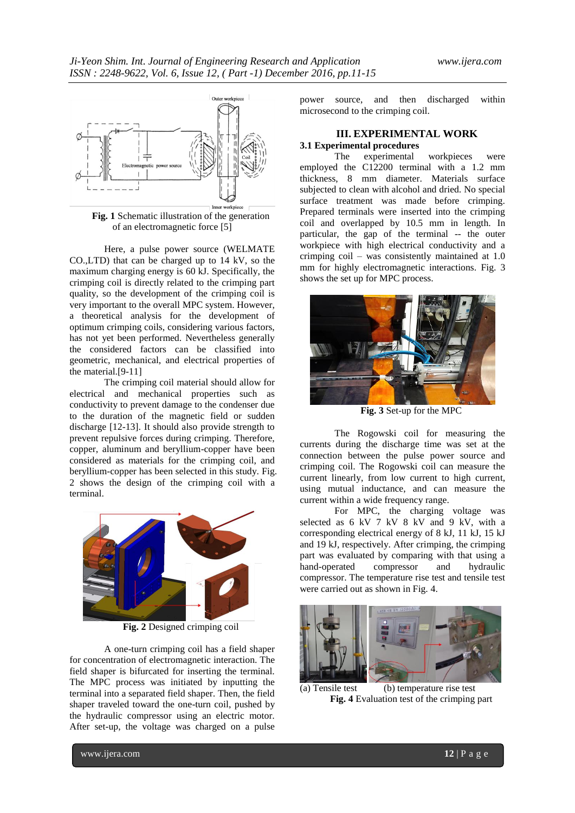

of an electromagnetic force [5]

Here, a pulse power source (WELMATE CO.,LTD) that can be charged up to 14 kV, so the maximum charging energy is 60 kJ. Specifically, the crimping coil is directly related to the crimping part quality, so the development of the crimping coil is very important to the overall MPC system. However, a theoretical analysis for the development of optimum crimping coils, considering various factors, has not yet been performed. Nevertheless generally the considered factors can be classified into geometric, mechanical, and electrical properties of the material.[9-11]

The crimping coil material should allow for electrical and mechanical properties such as conductivity to prevent damage to the condenser due to the duration of the magnetic field or sudden discharge [12-13]. It should also provide strength to prevent repulsive forces during crimping. Therefore, copper, aluminum and beryllium-copper have been considered as materials for the crimping coil, and beryllium-copper has been selected in this study. Fig. 2 shows the design of the crimping coil with a terminal.



**Fig. 2** Designed crimping coil

A one-turn crimping coil has a field shaper for concentration of electromagnetic interaction. The field shaper is bifurcated for inserting the terminal. The MPC process was initiated by inputting the terminal into a separated field shaper. Then, the field shaper traveled toward the one-turn coil, pushed by the hydraulic compressor using an electric motor. After set-up, the voltage was charged on a pulse

power source, and then discharged within microsecond to the crimping coil.

# **III. EXPERIMENTAL WORK**

**3.1 Experimental procedures** experimental workpieces were employed the C12200 terminal with a 1.2 mm thickness, 8 mm diameter. Materials surface subjected to clean with alcohol and dried. No special surface treatment was made before crimping. Prepared terminals were inserted into the crimping coil and overlapped by 10.5 mm in length. In particular, the gap of the terminal -- the outer workpiece with high electrical conductivity and a crimping coil – was consistently maintained at 1.0 mm for highly electromagnetic interactions. Fig. 3 shows the set up for MPC process.



**Fig. 3** Set-up for the MPC

The Rogowski coil for measuring the currents during the discharge time was set at the connection between the pulse power source and crimping coil. The Rogowski coil can measure the current linearly, from low current to high current, using mutual inductance, and can measure the current within a wide frequency range.

For MPC, the charging voltage was selected as 6 kV 7 kV 8 kV and 9 kV, with a corresponding electrical energy of 8 kJ, 11 kJ, 15 kJ and 19 kJ, respectively. After crimping, the crimping part was evaluated by comparing with that using a hand-operated compressor and hydraulic compressor. The temperature rise test and tensile test were carried out as shown in Fig. 4.



(a) Tensile test (b) temperature rise test **Fig. 4** Evaluation test of the crimping part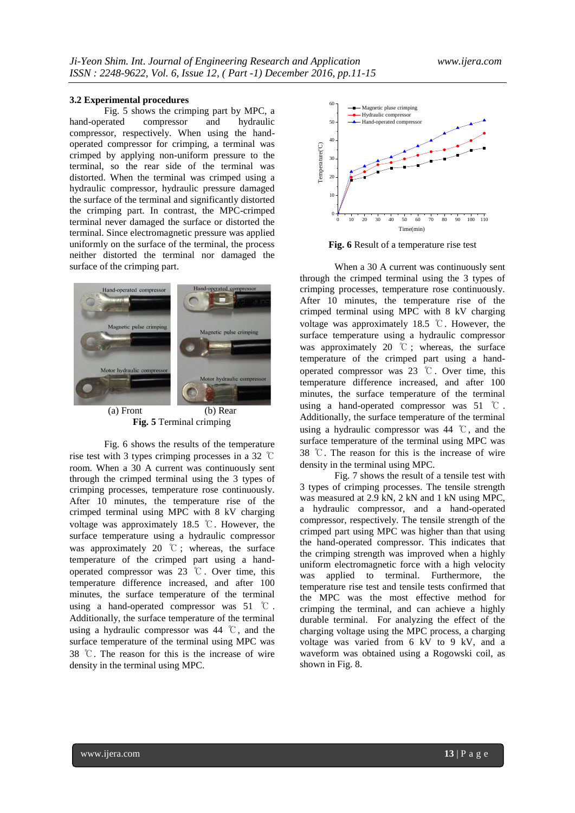### **3.2 Experimental procedures**

Fig. 5 shows the crimping part by MPC, a<br>erated compressor and hydraulic hand-operated compressor and hydraulic compressor, respectively. When using the handoperated compressor for crimping, a terminal was crimped by applying non-uniform pressure to the terminal, so the rear side of the terminal was distorted. When the terminal was crimped using a hydraulic compressor, hydraulic pressure damaged the surface of the terminal and significantly distorted the crimping part. In contrast, the MPC-crimped terminal never damaged the surface or distorted the terminal. Since electromagnetic pressure was applied uniformly on the surface of the terminal, the process neither distorted the terminal nor damaged the surface of the crimping part.



**Fig. 5** Terminal crimping

Fig. 6 shows the results of the temperature rise test with 3 types crimping processes in a 32 ℃ room. When a 30 A current was continuously sent through the crimped terminal using the 3 types of crimping processes, temperature rose continuously. After 10 minutes, the temperature rise of the crimped terminal using MPC with 8 kV charging voltage was approximately 18.5 ℃. However, the surface temperature using a hydraulic compressor was approximately 20 ℃ ; whereas, the surface temperature of the crimped part using a handoperated compressor was 23 ℃. Over time, this temperature difference increased, and after 100 minutes, the surface temperature of the terminal using a hand-operated compressor was 51 ℃ . Additionally, the surface temperature of the terminal using a hydraulic compressor was 44 ℃, and the surface temperature of the terminal using MPC was 38 ℃. The reason for this is the increase of wire density in the terminal using MPC.



**Fig. 6** Result of a temperature rise test

When a 30 A current was continuously sent through the crimped terminal using the 3 types of crimping processes, temperature rose continuously. After 10 minutes, the temperature rise of the crimped terminal using MPC with 8 kV charging voltage was approximately 18.5 ℃. However, the surface temperature using a hydraulic compressor was approximately 20 ℃ ; whereas, the surface temperature of the crimped part using a handoperated compressor was 23 ℃. Over time, this temperature difference increased, and after 100 minutes, the surface temperature of the terminal using a hand-operated compressor was 51 ℃ . Additionally, the surface temperature of the terminal using a hydraulic compressor was 44 ℃, and the surface temperature of the terminal using MPC was 38 ℃. The reason for this is the increase of wire density in the terminal using MPC.

Fig. 7 shows the result of a tensile test with 3 types of crimping processes. The tensile strength was measured at 2.9 kN, 2 kN and 1 kN using MPC, a hydraulic compressor, and a hand-operated compressor, respectively. The tensile strength of the crimped part using MPC was higher than that using the hand-operated compressor. This indicates that the crimping strength was improved when a highly uniform electromagnetic force with a high velocity was applied to terminal. Furthermore, the temperature rise test and tensile tests confirmed that the MPC was the most effective method for crimping the terminal, and can achieve a highly durable terminal. For analyzing the effect of the charging voltage using the MPC process, a charging voltage was varied from 6 kV to 9 kV, and a waveform was obtained using a Rogowski coil, as shown in Fig. 8.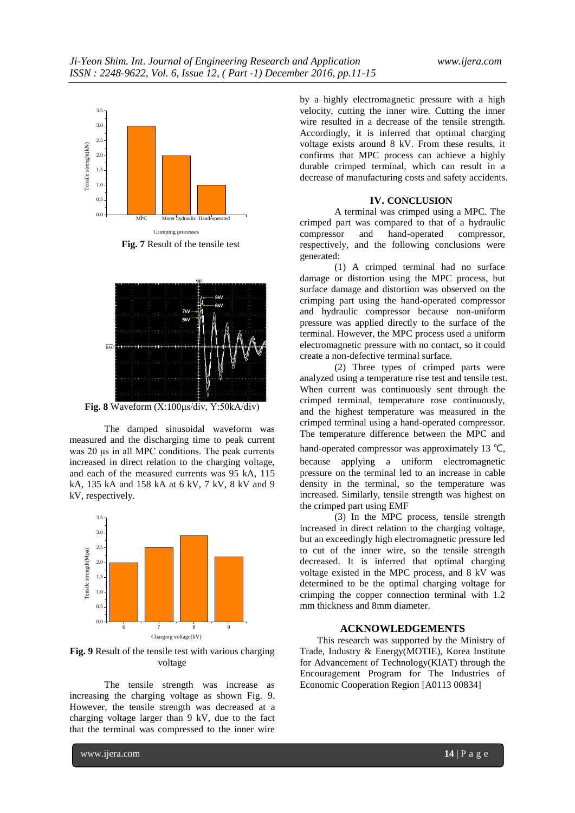

**Fig. 7** Result of the tensile test



**Fig. 8** Waveform (X:100μs/div, Y:50kA/div)

The damped sinusoidal waveform was measured and the discharging time to peak current was 20 μs in all MPC conditions. The peak currents increased in direct relation to the charging voltage, and each of the measured currents was 95 kA, 115 kA, 135 kA and 158 kA at 6 kV, 7 kV, 8 kV and 9 kV, respectively.



**Fig. 9** Result of the tensile test with various charging voltage

The tensile strength was increase as increasing the charging voltage as shown Fig. 9. However, the tensile strength was decreased at a charging voltage larger than 9 kV, due to the fact that the terminal was compressed to the inner wire

by a highly electromagnetic pressure with a high velocity, cutting the inner wire. Cutting the inner wire resulted in a decrease of the tensile strength. Accordingly, it is inferred that optimal charging voltage exists around 8 kV. From these results, it confirms that MPC process can achieve a highly durable crimped terminal, which can result in a decrease of manufacturing costs and safety accidents.

### **IV. CONCLUSION**

A terminal was crimped using a MPC. The crimped part was compared to that of a hydraulic compressor and hand-operated compressor, respectively, and the following conclusions were generated:

(1) A crimped terminal had no surface damage or distortion using the MPC process, but surface damage and distortion was observed on the crimping part using the hand-operated compressor and hydraulic compressor because non-uniform pressure was applied directly to the surface of the terminal. However, the MPC process used a uniform electromagnetic pressure with no contact, so it could create a non-defective terminal surface.

(2) Three types of crimped parts were analyzed using a temperature rise test and tensile test. When current was continuously sent through the crimped terminal, temperature rose continuously, and the highest temperature was measured in the crimped terminal using a hand-operated compressor. The temperature difference between the MPC and hand-operated compressor was approximately 13 ℃, because applying a uniform electromagnetic pressure on the terminal led to an increase in cable density in the terminal, so the temperature was increased. Similarly, tensile strength was highest on the crimped part using EMF

(3) In the MPC process, tensile strength increased in direct relation to the charging voltage, but an exceedingly high electromagnetic pressure led to cut of the inner wire, so the tensile strength decreased. It is inferred that optimal charging voltage existed in the MPC process, and 8 kV was determined to be the optimal charging voltage for crimping the copper connection terminal with 1.2 mm thickness and 8mm diameter.

# **ACKNOWLEDGEMENTS**

This research was supported by the Ministry of Trade, Industry & Energy(MOTIE), Korea Institute for Advancement of Technology(KIAT) through the Encouragement Program for The Industries of Economic Cooperation Region [A0113 00834]